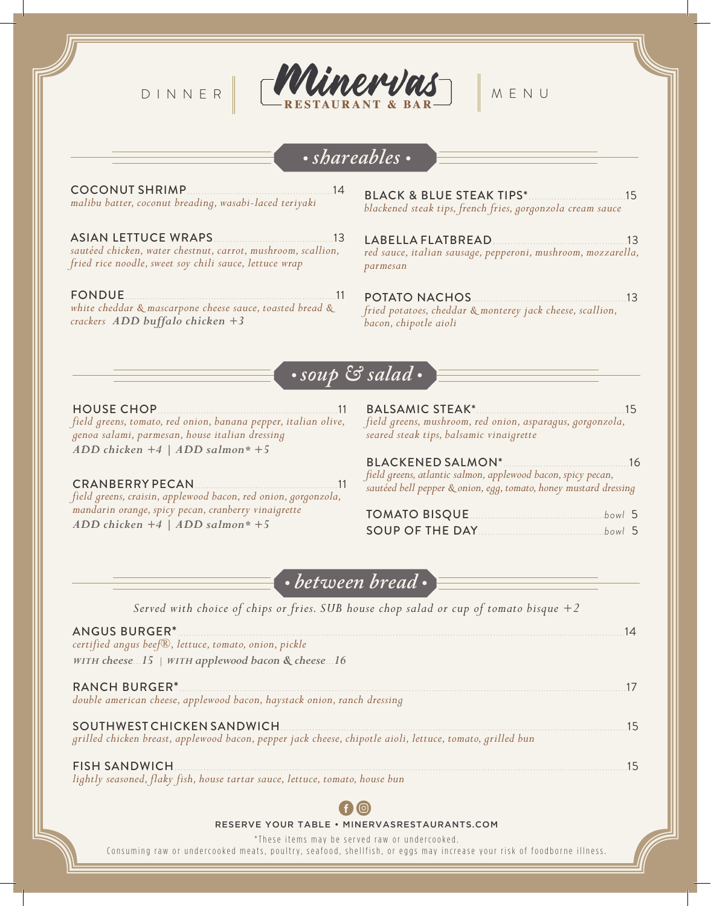

# ∙ *shareables* ∙

COCONUT SHRIMP...................................................14 *malibu batter, coconut breading, wasabi-laced teriyaki*

ASIAN LETTUCE WRAPS..........................................13 *sautéed chicken, water chestnut, carrot, mushroom, scallion, fried rice noodle, sweet soy chili sauce, lettuce wrap*

FONDUE..........................................................................11 *white cheddar & mascarpone cheese sauce, toasted bread & crackers ADD buffalo chicken +3*

BLACK & BLUE STEAK TIPS\*..................................15 *blackened steak tips, french fries, gorgonzola cream sauce*

LABELLA FLATBREAD...............................................13 *red sauce, italian sausage, pepperoni, mushroom, mozzarella, parmesan*

POTATO NACHOS......................................................13 *fried potatoes, cheddar & monterey jack cheese, scallion, bacon, chipotle aioli*

## ∙ *soup & salad* ∙

HOUSE CHOP...............................................................11 *field greens, tomato, red onion, banana pepper, italian olive,* 

*genoa salami, parmesan, house italian dressing ADD chicken +4 | ADD salmon\* +5*

CRANBERRY PECAN..................................................11 *field greens, craisin, applewood bacon, red onion, gorgonzola, mandarin orange, spicy pecan, cranberry vinaigrette ADD chicken +4 | ADD salmon\* +5*

#### BALSAMIC STEAK\*....................................................15 *field greens, mushroom, red onion, asparagus, gorgonzola, seared steak tips, balsamic vinaigrette*

BLACKENED SALMON\*............................................16 *field greens, atlantic salmon, applewood bacon, spicy pecan, sautéed bell pepper & onion, egg, tomato, honey mustard dressing* TOMATO BISQUE...............................................*bowl* 5

∙ *between bread* ∙

*Served with choice of chips or fries. SUB house chop salad or cup of tomato bisque +2*

| <b>ANGUS BURGER*</b><br>certified angus beef <sup>®</sup> , lettuce, tomato, onion, pickle<br>WITH cheese $.15$   WITH applewood bacon & cheese $.16$ |    |
|-------------------------------------------------------------------------------------------------------------------------------------------------------|----|
| <b>RANCH BURGER*</b><br>double american cheese, applewood bacon, haystack onion, ranch dressing                                                       |    |
| grilled chicken breast, applewood bacon, pepper jack cheese, chipotle aioli, lettuce, tomato, grilled bun                                             | 15 |
| <b>FISH SANDWICH</b><br>lightly seasoned, flaky fish, house tartar sauce, lettuce, tomato, house bun                                                  |    |



#### RESERVE YOUR TABLE • MINERVASRESTAURANTS.COM

\* These items may be served raw or undercooked.

Consuming raw or undercooked meats, poultry, seafood, shellfish, or eggs may increase your risk of foodborne illness.